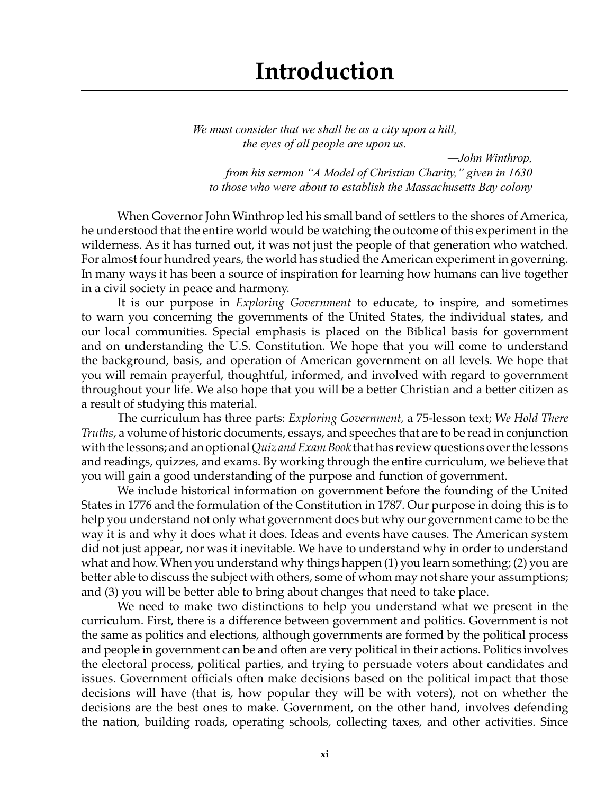*We must consider that we shall be as a city upon a hill, the eyes of all people are upon us.*

*—John Winthrop, from his sermon "A Model of Christian Charity," given in 1630 to those who were about to establish the Massachusetts Bay colony*

When Governor John Winthrop led his small band of settlers to the shores of America, he understood that the entire world would be watching the outcome of this experiment in the wilderness. As it has turned out, it was not just the people of that generation who watched. For almost four hundred years, the world has studied the American experiment in governing. In many ways it has been a source of inspiration for learning how humans can live together in a civil society in peace and harmony.

It is our purpose in *Exploring Government* to educate, to inspire, and sometimes to warn you concerning the governments of the United States, the individual states, and our local communities. Special emphasis is placed on the Biblical basis for government and on understanding the U.S. Constitution. We hope that you will come to understand the background, basis, and operation of American government on all levels. We hope that you will remain prayerful, thoughtful, informed, and involved with regard to government throughout your life. We also hope that you will be a better Christian and a better citizen as a result of studying this material.

The curriculum has three parts: *Exploring Government,* a 75-lesson text; *We Hold There Truths*, a volume of historic documents, essays, and speeches that are to be read in conjunction with the lessons; and an optional *Quiz and Exam Book* that has review questions over the lessons and readings, quizzes, and exams. By working through the entire curriculum, we believe that you will gain a good understanding of the purpose and function of government.

We include historical information on government before the founding of the United States in 1776 and the formulation of the Constitution in 1787. Our purpose in doing this is to help you understand not only what government does but why our government came to be the way it is and why it does what it does. Ideas and events have causes. The American system did not just appear, nor was it inevitable. We have to understand why in order to understand what and how. When you understand why things happen (1) you learn something; (2) you are better able to discuss the subject with others, some of whom may not share your assumptions; and (3) you will be better able to bring about changes that need to take place.

We need to make two distinctions to help you understand what we present in the curriculum. First, there is a difference between government and politics. Government is not the same as politics and elections, although governments are formed by the political process and people in government can be and often are very political in their actions. Politics involves the electoral process, political parties, and trying to persuade voters about candidates and issues. Government officials often make decisions based on the political impact that those decisions will have (that is, how popular they will be with voters), not on whether the decisions are the best ones to make. Government, on the other hand, involves defending the nation, building roads, operating schools, collecting taxes, and other activities. Since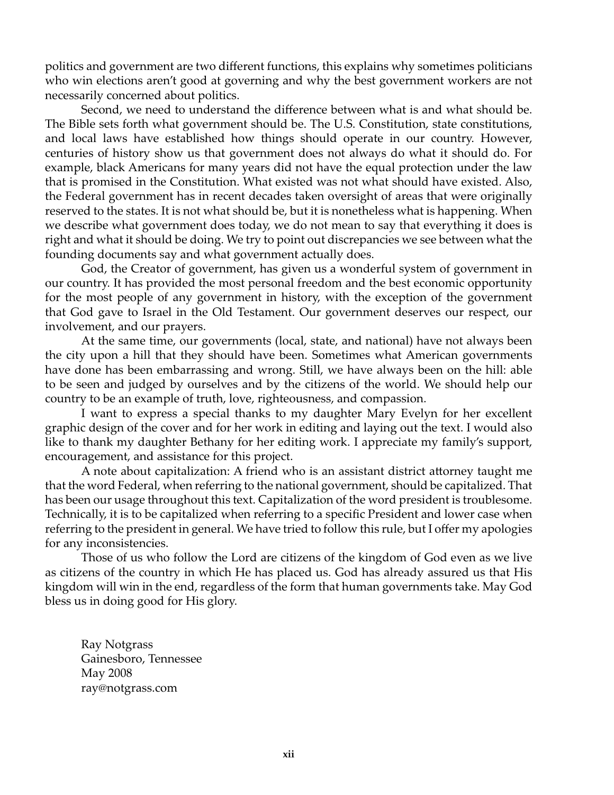politics and government are two different functions, this explains why sometimes politicians who win elections aren't good at governing and why the best government workers are not necessarily concerned about politics.

Second, we need to understand the difference between what is and what should be. The Bible sets forth what government should be. The U.S. Constitution, state constitutions, and local laws have established how things should operate in our country. However, centuries of history show us that government does not always do what it should do. For example, black Americans for many years did not have the equal protection under the law that is promised in the Constitution. What existed was not what should have existed. Also, the Federal government has in recent decades taken oversight of areas that were originally reserved to the states. It is not what should be, but it is nonetheless what is happening. When we describe what government does today, we do not mean to say that everything it does is right and what it should be doing. We try to point out discrepancies we see between what the founding documents say and what government actually does.

God, the Creator of government, has given us a wonderful system of government in our country. It has provided the most personal freedom and the best economic opportunity for the most people of any government in history, with the exception of the government that God gave to Israel in the Old Testament. Our government deserves our respect, our involvement, and our prayers.

At the same time, our governments (local, state, and national) have not always been the city upon a hill that they should have been. Sometimes what American governments have done has been embarrassing and wrong. Still, we have always been on the hill: able to be seen and judged by ourselves and by the citizens of the world. We should help our country to be an example of truth, love, righteousness, and compassion.

I want to express a special thanks to my daughter Mary Evelyn for her excellent graphic design of the cover and for her work in editing and laying out the text. I would also like to thank my daughter Bethany for her editing work. I appreciate my family's support, encouragement, and assistance for this project.

A note about capitalization: A friend who is an assistant district attorney taught me that the word Federal, when referring to the national government, should be capitalized. That has been our usage throughout this text. Capitalization of the word president is troublesome. Technically, it is to be capitalized when referring to a specific President and lower case when referring to the president in general. We have tried to follow this rule, but I offer my apologies for any inconsistencies.

Those of us who follow the Lord are citizens of the kingdom of God even as we live as citizens of the country in which He has placed us. God has already assured us that His kingdom will win in the end, regardless of the form that human governments take. May God bless us in doing good for His glory.

Ray Notgrass Gainesboro, Tennessee May 2008 ray@notgrass.com